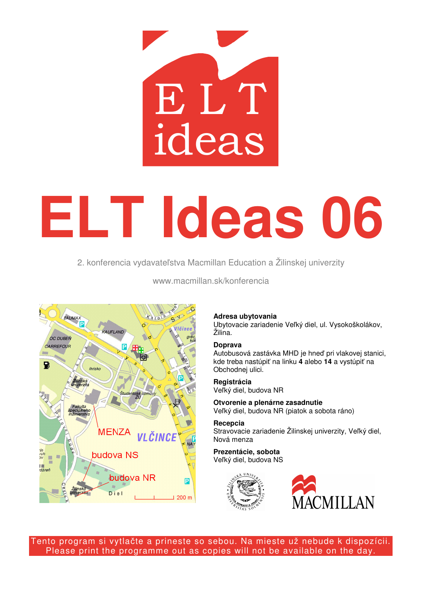

# **ELT Ideas 06**

2. konferencia vydavateľstva Macmillan Education a Žilinskej univerzity



www.macmillan.sk/konferencia

# **Adresa ubytovania**

Ubytovacie zariadenie Veľký diel, ul. Vysokoškolákov, Žilina.

## **Doprava**

Autobusová zastávka MHD je hneď pri vlakovej stanici, kde treba nastúpiť na linku **4** alebo **14** a vystúpiť na Obchodnej ulici.

**Registrácia**  Veľký diel, budova NR

**Otvorenie a plenárne zasadnutie**  Veľký diel, budova NR (piatok a sobota ráno)

**Recepcia**  Stravovacie zariadenie Žilinskej univerzity, Veľký diel, Nová menza

**Prezentácie, sobota**  Veľký diel, budova NS





Tento program si vytlačte a prineste so sebou. Na mieste už nebude k dispozícii. Please print the programme out as copies will not be available on the day.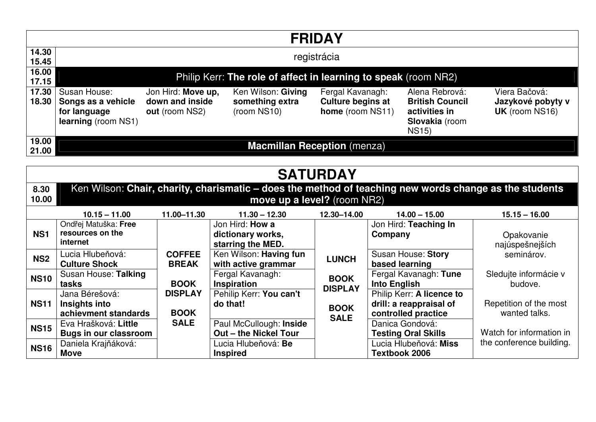| <b>FRIDAY</b>   |                                                                                                                                       |                                                         |                                                      |                                                                  |                                                                                             |                                                             |  |  |  |  |
|-----------------|---------------------------------------------------------------------------------------------------------------------------------------|---------------------------------------------------------|------------------------------------------------------|------------------------------------------------------------------|---------------------------------------------------------------------------------------------|-------------------------------------------------------------|--|--|--|--|
| 14.30<br>15.45  | registrácia                                                                                                                           |                                                         |                                                      |                                                                  |                                                                                             |                                                             |  |  |  |  |
| 16.00<br>17.15  | Philip Kerr: The role of affect in learning to speak (room NR2)                                                                       |                                                         |                                                      |                                                                  |                                                                                             |                                                             |  |  |  |  |
| 17.30<br>18.30  | Susan House:<br>Songs as a vehicle<br>for language<br>learning (room NS1)                                                             | Jon Hird: Move up,<br>down and inside<br>out (room NS2) | Ken Wilson: Giving<br>something extra<br>(room NS10) | Fergal Kavanagh:<br><b>Culture begins at</b><br>home (room NS11) | Alena Rebrová:<br><b>British Council</b><br>activities in<br>Slovakia (room<br><b>NS15)</b> | Viera Bačová:<br>Jazykové pobyty v<br><b>UK</b> (room NS16) |  |  |  |  |
| 19.00<br>21.00  | <b>Macmillan Reception</b> (menza)                                                                                                    |                                                         |                                                      |                                                                  |                                                                                             |                                                             |  |  |  |  |
| <b>SATURDAY</b> |                                                                                                                                       |                                                         |                                                      |                                                                  |                                                                                             |                                                             |  |  |  |  |
| 8.30<br>10.00   | Ken Wilson: Chair, charity, charismatic – does the method of teaching new words change as the students<br>move up a level? (room NR2) |                                                         |                                                      |                                                                  |                                                                                             |                                                             |  |  |  |  |

|                 | $10.15 - 11.00$                                         | 11.00-11.30                   | $11.30 - 12.30$                                                  | 12.30-14.00                   | $14.00 - 15.00$                                                             | $15.15 - 16.00$                         |
|-----------------|---------------------------------------------------------|-------------------------------|------------------------------------------------------------------|-------------------------------|-----------------------------------------------------------------------------|-----------------------------------------|
| NS <sub>1</sub> | Ondřej Matuška: Free<br>resources on the<br>internet    |                               | Jon Hird: <b>How a</b><br>dictionary works,<br>starring the MED. |                               | Jon Hird: Teaching In<br>Company                                            | Opakovanie<br>najúspešnejších           |
| NS <sub>2</sub> | Lucia Hlubeňová:<br><b>Culture Shock</b>                | <b>COFFEE</b><br><b>BREAK</b> | Ken Wilson: Having fun<br>with active grammar                    | <b>LUNCH</b>                  | Susan House: Story<br>based learning                                        | seminárov.                              |
| <b>NS10</b>     | Susan House: Talking<br>tasks                           | <b>BOOK</b>                   | Fergal Kavanagh:<br><b>Inspiration</b>                           | <b>BOOK</b><br><b>DISPLAY</b> | Fergal Kavanagh: Tune<br><b>Into English</b>                                | Sledujte informácie v<br>budove.        |
| <b>NS11</b>     | Jana Bérešová:<br>Insights into<br>achievment standards | <b>DISPLAY</b><br><b>BOOK</b> | Pehilip Kerr: You can't<br>do that!                              | <b>BOOK</b>                   | Philip Kerr: A licence to<br>drill: a reappraisal of<br>controlled practice | Repetition of the most<br>wanted talks. |
| <b>NS15</b>     | Eva Hrašková: Little<br><b>Bugs in our classroom</b>    | <b>SALE</b>                   | Paul McCullough: Inside<br><b>Out-the Nickel Tour</b>            | <b>SALE</b>                   | Danica Gondová:<br><b>Testing Oral Skills</b>                               | Watch for information in                |
| <b>NS16</b>     | Daniela Krajňáková:<br><b>Move</b>                      |                               | Lucia Hlubeňová: Be<br><b>Inspired</b>                           |                               | Lucia Hlubeňová: <b>Miss</b><br><b>Textbook 2006</b>                        | the conference building.                |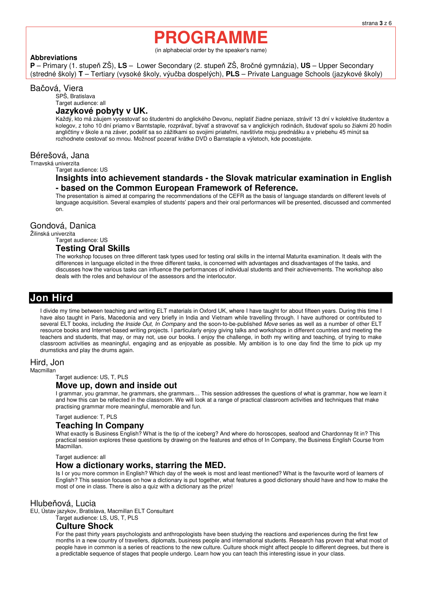# **PROGRAMME**

(in alphabecial order by the speaker's name)

#### **Abbreviations**

**P** – Primary (1. stupeň ZŠ), **LS** – Lower Secondary (2. stupeň ZŠ, 8ročné gymnázia), **US** – Upper Secondary (stredné školy) **T** – Tertiary (vysoké školy, výučba dospelých), **PLS** – Private Language Schools (jazykové školy)

#### Bačová, Viera

SPŠ, Bratislava

Target audience: all

#### **Jazykové pobyty v UK.**

Každý, kto má záujem vycestovať so študentmi do anglického Devonu, neplatiť žiadne peniaze, stráviť 13 dní v kolektíve študentov a kolegov, z toho 10 dní priamo v Barntstaple, rozprávať, bývať a stravovať sa v anglických rodinách, študovať spolu so žiakmi 20 hodín angličtiny v škole a na záver, podeliť sa so zážitkami so svojimi priateľmi, navštívte moju prednášku a v priebehu 45 minút sa rozhodnete cestovať so mnou. Možnosť pozerať krátke DVD o Barnstaple a výletoch, kde pocestujete.

#### Bérešová, Jana

Trnavská univerzita

Target audience: US

#### **Insights into achievement standards - the Slovak matricular examination in English - based on the Common European Framework of Reference.**

The presentation is aimed at comparing the recommendations of the CEFR as the basis of language standards on different levels of language acquisition. Several examples of students' papers and their oral performances will be presented, discussed and commented on.

#### Gondová, Danica

Žilinská univerzita

Target audience: US

#### **Testing Oral Skills**

The workshop focuses on three different task types used for testing oral skills in the internal Maturita examination. It deals with the differences in language elicited in the three different tasks, is concerned with advantages and disadvantages of the tasks, and discusses how the various tasks can influence the performances of individual students and their achievements. The workshop also deals with the roles and behaviour of the assessors and the interlocutor.

# **Jon Hird**

I divide my time between teaching and writing ELT materials in Oxford UK, where I have taught for about fifteen years. During this time I have also taught in Paris, Macedonia and very briefly in India and Vietnam while travelling through. I have authored or contributed to several ELT books, including the Inside Out. In Company and the soon-to-be-published Move series as well as a number of other ELT resource books and Internet-based writing projects. I particularly enjoy giving talks and workshops in different countries and meeting the teachers and students, that may, or may not, use our books. I enjoy the challenge, in both my writing and teaching, of trying to make classroom activities as meaningful, engaging and as enjoyable as possible. My ambition is to one day find the time to pick up my drumsticks and play the drums again.

#### Hird, Jon

Macmillan

Target audience: US, T, PLS

#### **Move up, down and inside out**

I grammar, you grammar, he grammars, she grammars… This session addresses the questions of what is grammar, how we learn it and how this can be reflected in the classroom. We will look at a range of practical classroom activities and techniques that make practising grammar more meaningful, memorable and fun.

#### Target audience: T, PLS

#### **Teaching In Company**

What exactly is Business English? What is the tip of the iceberg? And where do horoscopes, seafood and Chardonnay fit in? This practical session explores these questions by drawing on the features and ethos of In Company, the Business English Course from Macmillan.

Target audience: all

#### **How a dictionary works, starring the MED.**

Is I or you more common in English? Which day of the week is most and least mentioned? What is the favourite word of learners of English? This session focuses on how a dictionary is put together, what features a good dictionary should have and how to make the most of one in class. There is also a quiz with a dictionary as the prize!

#### Hlubeňová, Lucia

EU, Ústav jazykov, Bratislava, Macmillan ELT Consultant

Target audience: LS, US, T, PLS

#### **Culture Shock**

For the past thirty years psychologists and anthropologists have been studying the reactions and experiences during the first few months in a new country of travellers, diplomats, business people and international students. Research has proven that what most of people have in common is a series of reactions to the new culture. Culture shock might affect people to different degrees, but there is a predictable sequence of stages that people undergo. Learn how you can teach this interesting issue in your class.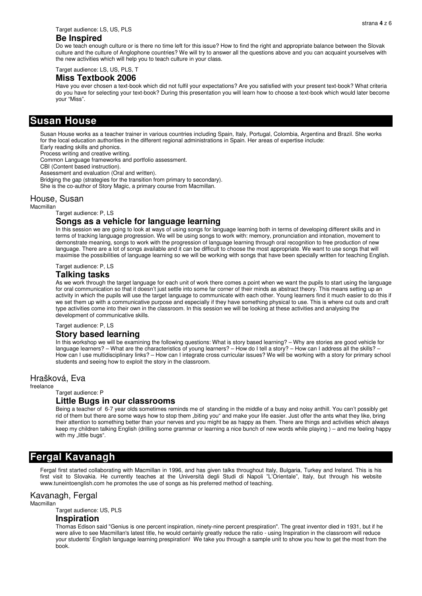#### **Be Inspired**

Do we teach enough culture or is there no time left for this issue? How to find the right and appropriate balance between the Slovak culture and the culture of Anglophone countries? We will try to answer all the questions above and you can acquaint yourselves with the new activities which will help you to teach culture in your class.

Target audience: LS, US, PLS, T

#### **Miss Textbook 2006**

Have you ever chosen a text-book which did not fulfil your expectations? Are you satisfied with your present text-book? What criteria do you have for selecting your text-book? During this presentation you will learn how to choose a text-book which would later become your "Miss".

#### **Susan House**

Susan House works as a teacher trainer in various countries including Spain, Italy, Portugal, Colombia, Argentina and Brazil. She works for the local education authorities in the different regional administrations in Spain. Her areas of expertise include:

Early reading skills and phonics.

Process writing and creative writing. Common Language frameworks and portfolio assessment.

CBI (Content based instruction).

Assessment and evaluation (Oral and written).

Bridging the gap (strategies for the transition from primary to secondary).

She is the co-author of Story Magic, a primary course from Macmillan.

#### House, Susan

**Macmillan** 

Target audience: P, LS

#### **Songs as a vehicle for language learning**

In this session we are going to look at ways of using songs for language learning both in terms of developing different skills and in terms of tracking language progression. We will be using songs to work with: memory, pronunciation and intonation, movement to demonstrate meaning, songs to work with the progression of language learning through oral recognition to free production of new language. There are a lot of songs available and it can be difficult to choose the most appropriate. We want to use songs that will maximise the possibilities of language learning so we will be working with songs that have been specially written for teaching English.

Target audience: P, LS

#### **Talking tasks**

As we work through the target language for each unit of work there comes a point when we want the pupils to start using the language for oral communication so that it doesn't just settle into some far corner of their minds as abstract theory. This means setting up an activity in which the pupils will use the target language to communicate with each other. Young learners find it much easier to do this if we set them up with a communicative purpose and especially if they have something physical to use. This is where cut outs and craft type activities come into their own in the classroom. In this session we will be looking at these activities and analysing the development of communicative skills.

Target audience: P, LS

#### **Story based learning**

In this workshop we will be examining the following questions: What is story based learning? – Why are stories are good vehicle for language learners? – What are the characteristics of young learners? – How do I tell a story? – How can I address all the skills? -How can I use multidisciplinary links? – How can I integrate cross curricular issues? We will be working with a story for primary school students and seeing how to exploit the story in the classroom.

#### Hrašková, Eva

freelance

Target audience: P

#### **Little Bugs in our classrooms**

Being a teacher of 6-7 year olds sometimes reminds me of standing in the middle of a busy and noisy anthill. You can't possibly get rid of them but there are some ways how to stop them "biting you" and make your life easier. Just offer the ants what they like, bring their attention to something better than your nerves and you might be as happy as them. There are things and activities which always keep my children talking English (drilling some grammar or learning a nice bunch of new words while playing ) – and me feeling happy with my "little bugs".

## **Fergal Kavanagh**

Fergal first started collaborating with Macmillan in 1996, and has given talks throughout Italy, Bulgaria, Turkey and Ireland. This is his first visit to Slovakia. He currently teaches at the Università degli Studi di Napoli "L'Orientale", Italy, but through his website www.tuneintoenglish.com he promotes the use of songs as his preferred method of teaching.

#### Kavanagh, Fergal

Macmillan

Target audience: US, PLS

#### **Inspiration**

Thomas Edison said "Genius is one percent inspiration, ninety-nine percent prespiration". The great inventor died in 1931, but if he were alive to see Macmillan's latest title, he would certainly greatly reduce the ratio - using Inspiration in the classroom will reduce your students' English language learning prespiration! We take you through a sample unit to show you how to get the most from the book.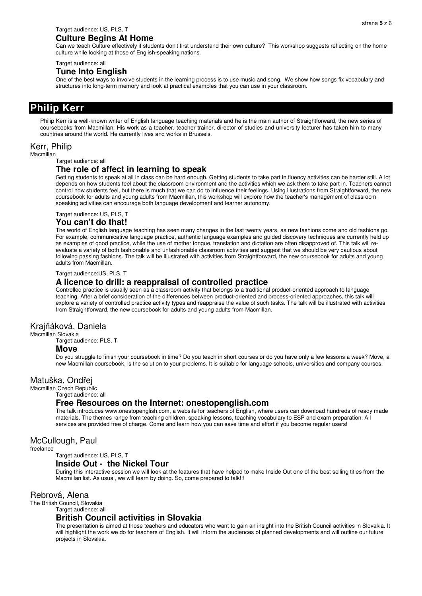#### Target audience: US, PLS, T

#### **Culture Begins At Home**

Can we teach Culture effectively if students don't first understand their own culture? This workshop suggests reflecting on the home culture while looking at those of English-speaking nations.

#### Target audience: all

#### **Tune Into English**

One of the best ways to involve students in the learning process is to use music and song. We show how songs fix vocabulary and structures into long-term memory and look at practical examples that you can use in your classroom.

# **Philip Kerr**

Philip Kerr is a well-known writer of English language teaching materials and he is the main author of Straightforward, the new series of coursebooks from Macmillan. His work as a teacher, teacher trainer, director of studies and university lecturer has taken him to many countries around the world. He currently lives and works in Brussels.

#### Kerr, Philip

Macmillan

Target audience: all

#### **The role of affect in learning to speak**

Getting students to speak at all in class can be hard enough. Getting students to take part in fluency activities can be harder still. A lot depends on how students feel about the classroom environment and the activities which we ask them to take part in. Teachers cannot control how students feel, but there is much that we can do to influence their feelings. Using illustrations from Straightforward, the new coursebook for adults and young adults from Macmillan, this workshop will explore how the teacher's management of classroom speaking activities can encourage both language development and learner autonomy.

Target audience: US, PLS, T

#### **You can't do that!**

The world of English language teaching has seen many changes in the last twenty years, as new fashions come and old fashions go. For example, communicative language practice, authentic language examples and guided discovery techniques are currently held up as examples of good practice, while the use of mother tongue, translation and dictation are often disapproved of. This talk will reevaluate a variety of both fashionable and unfashionable classroom activities and suggest that we should be very cautious about following passing fashions. The talk will be illustrated with activities from Straightforward, the new coursebook for adults and young adults from Macmillan.

Target audience:US, PLS, T

#### **A licence to drill: a reappraisal of controlled practice**

Controlled practice is usually seen as a classroom activity that belongs to a traditional product-oriented approach to language teaching. After a brief consideration of the differences between product-oriented and process-oriented approaches, this talk will explore a variety of controlled practice activity types and reappraise the value of such tasks. The talk will be illustrated with activities from Straightforward, the new coursebook for adults and young adults from Macmillan.

#### Krajňáková, Daniela

Macmillan Slovakia

Target audience: PLS, T

#### **Move**

Do you struggle to finish your coursebook in time? Do you teach in short courses or do you have only a few lessons a week? Move, a new Macmillan coursebook, is the solution to your problems. It is suitable for language schools, universities and company courses.

#### Matuška, Ondřej

Macmillan Czech Republic

#### Target audience: all

#### **Free Resources on the Internet: onestopenglish.com**

The talk introduces www.onestopenglish.com, a website for teachers of English, where users can download hundreds of ready made materials. The themes range from teaching children, speaking lessons, teaching vocabulary to ESP and exam preparation. All services are provided free of charge. Come and learn how you can save time and effort if you become regular users!

#### McCullough, Paul

freelance

# Target audience: US, PLS, T

**Inside Out - the Nickel Tour** 

During this interactive session we will look at the features that have helped to make Inside Out one of the best selling titles from the Macmillan list. As usual, we will learn by doing. So, come prepared to talk!!!

#### Rebrová, Alena

The British Council, Slovakia

Target audience: all

#### **British Council activities in Slovakia**

The presentation is aimed at those teachers and educators who want to gain an insight into the British Council activities in Slovakia. It will highlight the work we do for teachers of English. It will inform the audiences of planned developments and will outline our future projects in Slovakia.